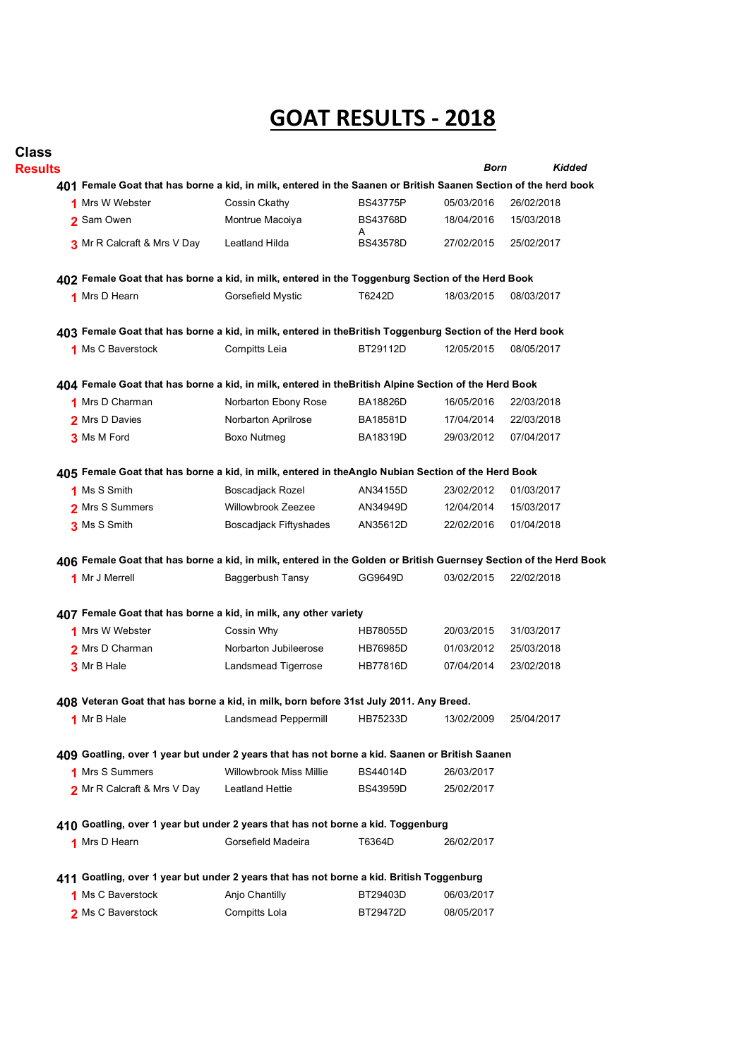## **GOAT RESULTS - 2018**

| <b>Class</b><br><b>Results</b> |                                                                                                                   |                                |                      | Born       | <b>Kidded</b> |
|--------------------------------|-------------------------------------------------------------------------------------------------------------------|--------------------------------|----------------------|------------|---------------|
|                                | 401 Female Goat that has borne a kid, in milk, entered in the Saanen or British Saanen Section of the herd book   |                                |                      |            |               |
|                                | 1 Mrs W Webster                                                                                                   | Cossin Ckathy                  | <b>BS43775P</b>      | 05/03/2016 | 26/02/2018    |
|                                | 2 Sam Owen                                                                                                        | Montrue Macoiya                | <b>BS43768D</b><br>A | 18/04/2016 | 15/03/2018    |
|                                | 3 Mr R Calcraft & Mrs V Day                                                                                       | Leatland Hilda                 | <b>BS43578D</b>      | 27/02/2015 | 25/02/2017    |
|                                | 402 Female Goat that has borne a kid, in milk, entered in the Toggenburg Section of the Herd Book                 |                                |                      |            |               |
|                                | 1 Mrs D Hearn                                                                                                     | Gorsefield Mystic              | T6242D               | 18/03/2015 | 08/03/2017    |
|                                | 403 Female Goat that has borne a kid, in milk, entered in theBritish Toggenburg Section of the Herd book          |                                |                      |            |               |
|                                | 1 Ms C Baverstock                                                                                                 | Cornpitts Leia                 | BT29112D             | 12/05/2015 | 08/05/2017    |
|                                | 404 Female Goat that has borne a kid, in milk, entered in theBritish Alpine Section of the Herd Book              |                                |                      |            |               |
|                                | 1 Mrs D Charman                                                                                                   | Norbarton Ebony Rose           | BA18826D             | 16/05/2016 | 22/03/2018    |
|                                | 2 Mrs D Davies                                                                                                    | Norbarton Aprilrose            | <b>BA18581D</b>      | 17/04/2014 | 22/03/2018    |
|                                | 3 Ms M Ford                                                                                                       | <b>Boxo Nutmeg</b>             | BA18319D             | 29/03/2012 | 07/04/2017    |
|                                | 405 Female Goat that has borne a kid, in milk, entered in theAnglo Nubian Section of the Herd Book                |                                |                      |            |               |
|                                | 1 Ms S Smith                                                                                                      | <b>Boscadjack Rozel</b>        | AN34155D             | 23/02/2012 | 01/03/2017    |
|                                | 2 Mrs S Summers                                                                                                   | Willowbrook Zeezee             | AN34949D             | 12/04/2014 | 15/03/2017    |
|                                | 3 Ms S Smith                                                                                                      | <b>Boscadjack Fiftyshades</b>  | AN35612D             | 22/02/2016 | 01/04/2018    |
|                                | 406 Female Goat that has borne a kid, in milk, entered in the Golden or British Guernsey Section of the Herd Book |                                |                      |            |               |
|                                | 1 Mr J Merrell                                                                                                    | Baggerbush Tansy               | GG9649D              | 03/02/2015 | 22/02/2018    |
|                                | 407 Female Goat that has borne a kid, in milk, any other variety                                                  |                                |                      |            |               |
|                                | 1 Mrs W Webster                                                                                                   | Cossin Why                     | <b>HB78055D</b>      | 20/03/2015 | 31/03/2017    |
|                                | 2 Mrs D Charman                                                                                                   | Norbarton Jubileerose          | <b>HB76985D</b>      | 01/03/2012 | 25/03/2018    |
|                                | 3 Mr B Hale                                                                                                       | Landsmead Tigerrose            | <b>HB77816D</b>      | 07/04/2014 | 23/02/2018    |
|                                | 408 Veteran Goat that has borne a kid, in milk, born before 31st July 2011. Any Breed.                            |                                |                      |            |               |
|                                | 1 Mr B Hale                                                                                                       | Landsmead Peppermill           | HB75233D             | 13/02/2009 | 25/04/2017    |
|                                | 409 Goatling, over 1 year but under 2 years that has not borne a kid. Saanen or British Saanen                    |                                |                      |            |               |
|                                | 1 Mrs S Summers                                                                                                   | <b>Willowbrook Miss Millie</b> | <b>BS44014D</b>      | 26/03/2017 |               |
|                                | 2 Mr R Calcraft & Mrs V Day                                                                                       | Leatland Hettie                | <b>BS43959D</b>      | 25/02/2017 |               |
|                                | 410 Goatling, over 1 year but under 2 years that has not borne a kid. Toggenburg                                  |                                |                      |            |               |
|                                | 1 Mrs D Hearn                                                                                                     | Gorsefield Madeira             | T6364D               | 26/02/2017 |               |
|                                | 411 Goatling, over 1 year but under 2 years that has not borne a kid. British Toggenburg                          |                                |                      |            |               |
|                                | 1 Ms C Baverstock                                                                                                 | Anjo Chantilly                 | BT29403D             | 06/03/2017 |               |
|                                | 2 Ms C Baverstock                                                                                                 | Cornpitts Lola                 | BT29472D             | 08/05/2017 |               |